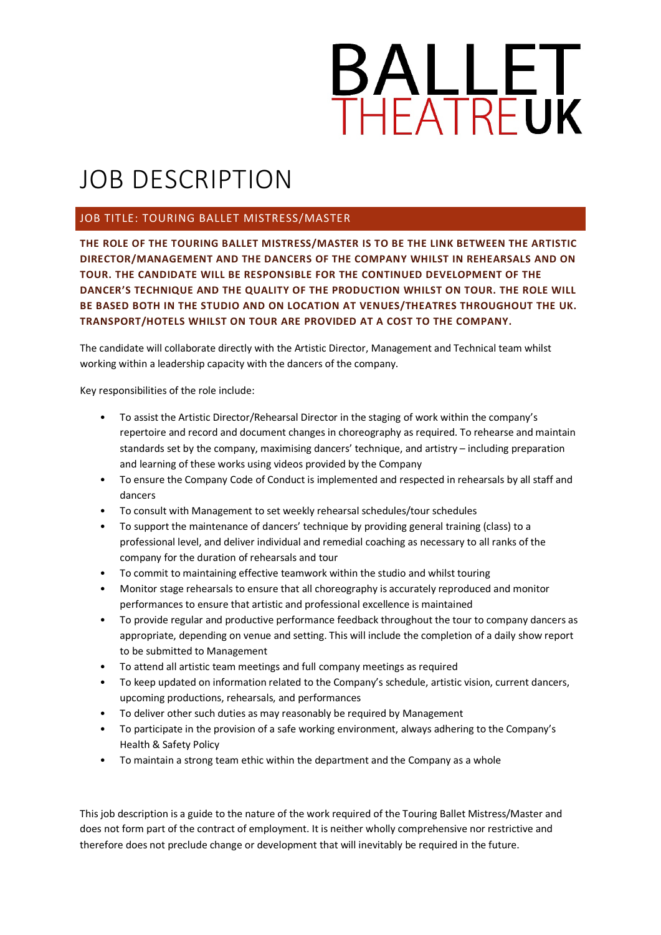

# JOB DESCRIPTION

### JOB TITLE: TOURING BALLET MISTRESS/MASTER

**THE ROLE OF THE TOURING BALLET MISTRESS/MASTER IS TO BE THE LINK BETWEEN THE ARTISTIC DIRECTOR/MANAGEMENT AND THE DANCERS OF THE COMPANY WHILST IN REHEARSALS AND ON TOUR. THE CANDIDATE WILL BE RESPONSIBLE FOR THE CONTINUED DEVELOPMENT OF THE DANCER'S TECHNIQUE AND THE QUALITY OF THE PRODUCTION WHILST ON TOUR. THE ROLE WILL BE BASED BOTH IN THE STUDIO AND ON LOCATION AT VENUES/THEATRES THROUGHOUT THE UK. TRANSPORT/HOTELS WHILST ON TOUR ARE PROVIDED AT A COST TO THE COMPANY.** 

The candidate will collaborate directly with the Artistic Director, Management and Technical team whilst working within a leadership capacity with the dancers of the company.

Key responsibilities of the role include:

- To assist the Artistic Director/Rehearsal Director in the staging of work within the company's repertoire and record and document changes in choreography as required. To rehearse and maintain standards set by the company, maximising dancers' technique, and artistry – including preparation and learning of these works using videos provided by the Company
- To ensure the Company Code of Conduct is implemented and respected in rehearsals by all staff and dancers
- To consult with Management to set weekly rehearsal schedules/tour schedules
- To support the maintenance of dancers' technique by providing general training (class) to a professional level, and deliver individual and remedial coaching as necessary to all ranks of the company for the duration of rehearsals and tour
- To commit to maintaining effective teamwork within the studio and whilst touring
- Monitor stage rehearsals to ensure that all choreography is accurately reproduced and monitor performances to ensure that artistic and professional excellence is maintained
- To provide regular and productive performance feedback throughout the tour to company dancers as appropriate, depending on venue and setting. This will include the completion of a daily show report to be submitted to Management
- To attend all artistic team meetings and full company meetings as required
- To keep updated on information related to the Company's schedule, artistic vision, current dancers, upcoming productions, rehearsals, and performances
- To deliver other such duties as may reasonably be required by Management
- To participate in the provision of a safe working environment, always adhering to the Company's Health & Safety Policy
- To maintain a strong team ethic within the department and the Company as a whole

This job description is a guide to the nature of the work required of the Touring Ballet Mistress/Master and does not form part of the contract of employment. It is neither wholly comprehensive nor restrictive and therefore does not preclude change or development that will inevitably be required in the future.